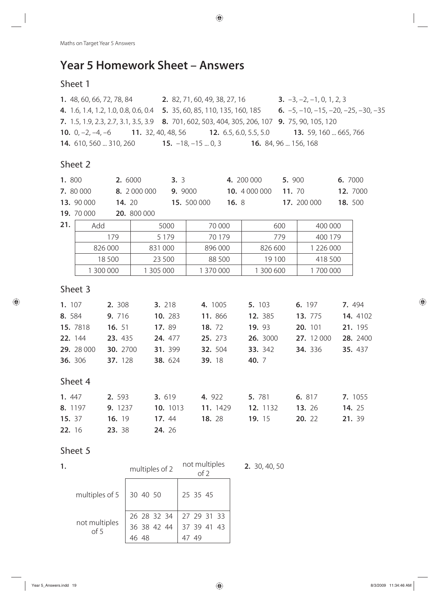# **Year 5 Homework Sheet – Answers**

# Sheet 1

| 1. 48, 60, 66, 72, 78, 84                                                                                          | 2. 82, 71, 60, 49, 38, 27, 16 | <b>3.</b> $-3, -2, -1, 0, 1, 2, 3$                             |  |
|--------------------------------------------------------------------------------------------------------------------|-------------------------------|----------------------------------------------------------------|--|
| <b>4.</b> 1.6, 1.4, 1.2, 1.0, 0.8, 0.6, 0.4 <b>5.</b> 35, 60, 85, 110, 135, 160, 185                               |                               | <b>6.</b> $-5$ , $-10$ , $-15$ , $-20$ , $-25$ , $-30$ , $-35$ |  |
| <b>7.</b> 1.5, 1.9, 2.3, 2.7, 3.1, 3.5, 3.9 <b>8.</b> 701, 602, 503, 404, 305, 206, 107 <b>9.</b> 75, 90, 105, 120 |                               |                                                                |  |
| <b>10.</b> $0, -2, -4, -6$ <b>11.</b> 32, 40, 48, 56 <b>12.</b> 6.5, 6.0, 5.5, 5.0 <b>13.</b> 59, 160  665, 766    |                               |                                                                |  |
| <b>14.</b> 610, 560  310, 260 <b>15.</b> $-18$ , $-15$ 0, 3                                                        |                               | <b>16.</b> 84, 96  156, 168                                    |  |

# Sheet 2

|                | 1.800<br>2. 6000 |          |              | 3.3<br>4. 200 000 |         |               | 5. 900 |             | 6. 7000       |
|----------------|------------------|----------|--------------|-------------------|---------|---------------|--------|-------------|---------------|
|                | 7. 80 000        |          | 8. 2 000 000 | 9. 9000           |         | 10. 4 000 000 | 11.70  |             | 12. 7000      |
|                | 13. 90 000       | 14. 20   |              | 15. 500 000       | 16. $8$ |               |        | 17. 200 000 | 18.500        |
|                | 19. 70 000       |          | 20. 800 000  |                   |         |               |        |             |               |
| 21.            | Add              |          | 5000         | 70 000            |         |               | 600    | 400 000     |               |
|                |                  | 179      | 5 1 7 9      | 70 179            |         |               | 779    | 400 179     |               |
|                |                  | 826 000  | 831 000      | 896 000           |         | 826 600       |        | 1 226 000   |               |
|                |                  | 18 500   | 23 500       | 88 500            |         | 19 100        |        | 418 500     |               |
|                | 1 300 000        |          | 1 305 000    | 1 370 000         |         | 1 300 600     |        | 1700 000    |               |
|                | Sheet 3          |          |              |                   |         |               |        |             |               |
| 1. 107         |                  | 2. 308   | 3. 218       | 4. 1005           |         | 5. 103        |        | 6. 197      | 7.494         |
| 8.584          |                  | 9.716    | 10. 283      | 11.866            |         | 12. 385       |        | 13. 775     | 14. 4102      |
| 15. 7818       |                  | 16. 51   | 17.89        | 18. 72            |         | 19. 93        |        | 20. 101     | 21. 195       |
| 22. 144        |                  | 23. 435  | 24. 477      | 25. 273           |         | 26. 3000      |        | 27. 12 000  | 28. 2400      |
|                | 29. 28 000       | 30. 2700 | 31. 399      | 32. 504           |         | 33. 342       |        | 34. 336     | 35.437        |
| <b>36.</b> 306 |                  | 37. 128  | 38. 624      | 39. 18            |         | 40. 7         |        |             |               |
|                | Sheet 4          |          |              |                   |         |               |        |             |               |
| 1.447          |                  | 2. 593   | 3.619        | 4. 922            |         | 5. 781        |        | 6. 817      | 7. 1055       |
| 8. 1197        |                  | 9. 1237  | 10. 1013     | 11. 1429          |         | 12. 1132      |        | 13. 26      | <b>14.</b> 25 |
| 15. 37         |                  | 16. 19   | 17.44        | 18.28             |         | 19. 15        |        | 20. 22      | 21. 39        |
| 22. 16         |                  | 23. 38   | 24. 26       |                   |         |               |        |             |               |

| 1. |                                    | multiples of 2 | not multiples<br>of 2 | 2. 30, 40, 50 |
|----|------------------------------------|----------------|-----------------------|---------------|
|    | multiples of $5 \mid 30 \n40 \n50$ |                | 25 35 45              |               |
|    |                                    | 26 28 32 34    | 27 29 31 33           |               |
|    | not multiples<br>of 5              | 36 38 42 44    | 37 39 41 43           |               |
|    |                                    |                | 49                    |               |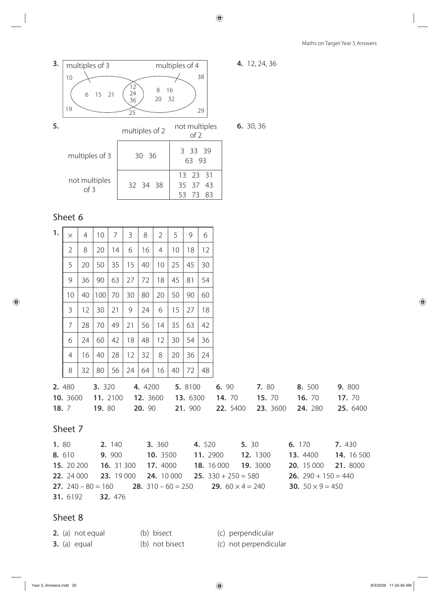

| 1.   | $\times$   | 4  | 10             | $\overline{7}$ | 3             | 8             | 2        | 5  | 9               | 6        |                   |       |                                                                                    |                                |        |            |
|------|------------|----|----------------|----------------|---------------|---------------|----------|----|-----------------|----------|-------------------|-------|------------------------------------------------------------------------------------|--------------------------------|--------|------------|
|      | 2          | 8  | 20             | 14             | 6             | 16            | 4        | 10 | 18              | 12       |                   |       |                                                                                    |                                |        |            |
|      | 5          | 20 | 50             | 35             | 15            | 40            | 10       | 25 | 45              | 30       |                   |       |                                                                                    |                                |        |            |
|      | 9          | 36 | 90             | 63             | 27            | 72            | 18       | 45 | 81              | 54       |                   |       |                                                                                    |                                |        |            |
|      | 10         | 40 | 100            | 70             | 30            | 80            | 20       | 50 | 90              | 60       |                   |       |                                                                                    |                                |        |            |
|      | 3          | 12 | 30             | 21             | 9             | 24            | 6        | 15 | 27              | 18       |                   |       |                                                                                    |                                |        |            |
|      | 7          | 28 | 70             | 49             | 21            | 56            | 14       | 35 | 63              | 42       |                   |       |                                                                                    |                                |        |            |
|      | 6          | 24 | 60             | 42             | 18            | 48            | 12       | 30 | 54              | 36       |                   |       |                                                                                    |                                |        |            |
|      | 4          | 16 | 40             | 28             | 12            | 32            | 8        | 20 | 36              | 24       |                   |       |                                                                                    |                                |        |            |
|      | 8          | 32 | 80             | 56             | 24            | 64            | 16       | 40 | 72              | 48       |                   |       |                                                                                    |                                |        |            |
|      | 2.480      |    | 3. 320         |                |               | 4.4200        |          |    | 5. 8100         |          | 6. 90             |       | 7. 80                                                                              | 8.500                          | 9. 800 |            |
|      | 10. 3600   |    | 11. 2100       |                |               | 12. 3600      |          |    | <b>13.</b> 6300 |          | <b>14.</b> 70     |       | <b>15.</b> 70                                                                      | <b>16.</b> 70                  | 17. 70 |            |
|      | 18.7       |    | <b>19.</b> 80  |                |               | <b>20.</b> 90 |          |    | 21. 900         |          | 22. 5400          |       | 23. 3600                                                                           | 24. 280                        |        | 25. 6400   |
|      | Sheet 7    |    |                |                |               |               |          |    |                 |          |                   |       |                                                                                    |                                |        |            |
| 1.80 |            |    |                | 2. 140         |               |               | 3. 360   |    |                 | 4.520    |                   | 5. 30 |                                                                                    | 6. 170                         | 7.430  |            |
|      | 8. 610     |    |                |                | <b>9.</b> 900 |               | 10. 3500 |    |                 | 11. 2900 |                   |       | 12. 1300                                                                           | <b>13.</b> 4400                |        | 14. 16 500 |
|      | 15. 20 200 |    |                | 16. 31 300     |               |               | 17.4000  |    |                 |          | <b>18.</b> 16 000 |       | <b>19.</b> 3000                                                                    | 20. 15 000                     |        | 21. 8000   |
|      | 22. 24 000 |    |                |                | 23. 19 000    |               |          |    |                 |          |                   |       | <b>24.</b> 10 000 <b>25.</b> 330 + 250 = 580                                       | <b>26.</b> 290 + 150 = 440     |        |            |
|      |            |    |                |                |               |               |          |    |                 |          |                   |       | <b>27.</b> 240 – 80 = 160 <b>28.</b> 310 – 60 = 250 <b>29.</b> 60 $\times$ 4 = 240 | <b>30.</b> $50 \times 9 = 450$ |        |            |
|      | 31. 6192   |    | <b>32.</b> 476 |                |               |               |          |    |                 |          |                   |       |                                                                                    |                                |        |            |
|      |            |    |                |                |               |               |          |    |                 |          |                   |       |                                                                                    |                                |        |            |

### Sheet 8

**2.** (a) not equal (b) bisect (c) perpendicular

**3.** (a) equal (b) not bisect (c) not perpendicular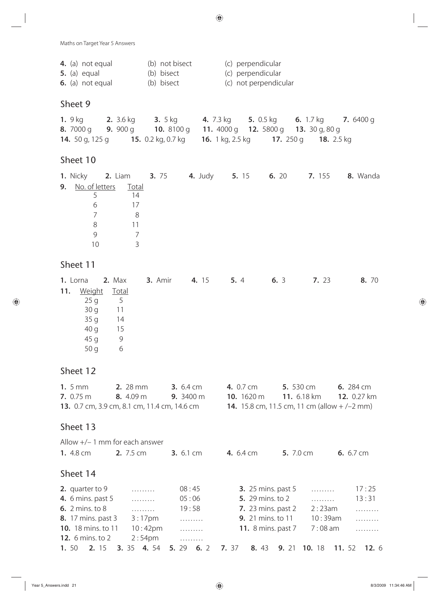|  | <b>4.</b> (a) not equal | (b) not bisect | (c) perpendicular     |
|--|-------------------------|----------------|-----------------------|
|  | $5.$ (a) equal          | (b) bisect     | (c) perpendicular     |
|  | 6. (a) not equal        | (b) bisect     | (c) not perpendicular |

#### Sheet 9

| 1. $9$ kg              | <b>2.</b> 3.6 kg | <b>3.</b> $5 \text{ kg}$                                                                                     | <b>4.</b> 7.3 kg <b>5.</b> 0.5 kg |  |  | <b>6.</b> 1.7 kg <b>7.</b> 6400 g  |  |
|------------------------|------------------|--------------------------------------------------------------------------------------------------------------|-----------------------------------|--|--|------------------------------------|--|
|                        |                  | <b>8.</b> 7000 q <b>9.</b> 900 q <b>10.</b> 8100 q <b>11.</b> 4000 q <b>12.</b> 5800 q <b>13.</b> 30 q, 80 q |                                   |  |  |                                    |  |
| <b>14.</b> 50 g, 125 g |                  | <b>15.</b> 0.2 kg, 0.7 kg <b>16.</b> 1 kg, 2.5 kg                                                            |                                   |  |  | <b>17.</b> 250 g <b>18.</b> 2.5 kg |  |

# Sheet 10

| <b>1.</b> Nicky <b>2.</b> Liam <b>3.</b> 75 <b>4.</b> Judy <b>5.</b> 15 <b>6.</b> 20 <b>7.</b> 155 <b>8.</b> Wanda |    |  |  |  |
|--------------------------------------------------------------------------------------------------------------------|----|--|--|--|
| 9. No. of letters Total                                                                                            |    |  |  |  |
|                                                                                                                    | 14 |  |  |  |
| 6                                                                                                                  | 17 |  |  |  |
|                                                                                                                    | 8  |  |  |  |
| 8                                                                                                                  | 11 |  |  |  |
| q                                                                                                                  |    |  |  |  |
| 10                                                                                                                 |    |  |  |  |

### Sheet 11

|     | <b>1.</b> Lorna <b>2.</b> Max |                | <b>3.</b> Amir <b>4.</b> 15 | 5.4 | 6.3 | 7.23 | 8. 70 |
|-----|-------------------------------|----------------|-----------------------------|-----|-----|------|-------|
| 11. | <u>Weight</u>                 | <b>Total</b>   |                             |     |     |      |       |
|     | 25q                           | $\overline{5}$ |                             |     |     |      |       |
|     | 30 g 11                       |                |                             |     |     |      |       |
|     | 35q                           | 14             |                             |     |     |      |       |
|     | 40 g                          | 15             |                             |     |     |      |       |
|     | 45 g                          | 9              |                             |     |     |      |       |
|     | 50q                           | 6              |                             |     |     |      |       |

| 1.5mm<br>7. 0.75 m<br>13. 0.7 cm, 3.9 cm, 8.1 cm, 11.4 cm, 14.6 cm | <b>2.</b> 28 mm<br>8. 4.09 m |                    | <b>3.</b> $6.4 \text{ cm}$<br>9. 3400 m |     | 4. 0.7 cm        | 10. $1620 \text{ m}$      |       | <b>5.</b> 530 cm<br>11. 6.18 km<br>14. 15.8 cm, 11.5 cm, 11 cm (allow $+/-2$ mm) |       | <b>6.</b> 284 cm<br>12. 0.27 km |
|--------------------------------------------------------------------|------------------------------|--------------------|-----------------------------------------|-----|------------------|---------------------------|-------|----------------------------------------------------------------------------------|-------|---------------------------------|
| Sheet 13                                                           |                              |                    |                                         |     |                  |                           |       |                                                                                  |       |                                 |
| Allow $+/- 1$ mm for each answer                                   |                              |                    |                                         |     |                  |                           |       |                                                                                  |       |                                 |
| <b>1.</b> 4.8 cm                                                   | 2. 7.5 cm                    |                    | <b>3.</b> $6.1 \text{ cm}$              |     | <b>4.</b> 6.4 cm |                           |       | <b>5.</b> 7.0 cm                                                                 |       | <b>6.</b> 6.7 cm                |
| Sheet 14                                                           |                              |                    |                                         |     |                  |                           |       |                                                                                  |       |                                 |
| 2. quarter to 9                                                    |                              | .                  | 08:45                                   |     |                  | <b>3.</b> 25 mins. past 5 |       | .                                                                                |       | 17:25                           |
| <b>4.</b> 6 mins. past 5                                           |                              |                    | 05:06                                   |     |                  | <b>5.</b> 29 mins. to 2   |       |                                                                                  |       | 13:31                           |
| <b>6.</b> 2 mins. to 8                                             |                              | .                  | 19:58                                   |     |                  | <b>7.</b> 23 mins. past 2 |       | 2:23am                                                                           |       | .                               |
| <b>8.</b> 17 mins. past 3                                          |                              | $3:17$ pm          |                                         |     |                  | <b>9.</b> 21 mins. to 11  |       | 10:39am                                                                          |       |                                 |
| <b>10.</b> 18 mins. to 11                                          |                              | $10:42$ pm         | .                                       |     |                  | <b>11.</b> 8 mins. past 7 |       | $7:08$ am                                                                        |       | .                               |
| <b>12.</b> 6 mins. to 2                                            |                              | 2:54 <sub>pm</sub> | .                                       |     |                  |                           |       |                                                                                  |       |                                 |
| 1.50<br>2. 15                                                      | <b>3.</b> 35                 | 4.54               | 5. 29                                   | 6.2 | 7. 37            | 8. 43                     | 9. 21 | 10. 18                                                                           | 11.52 | <b>12.</b> $\epsilon$           |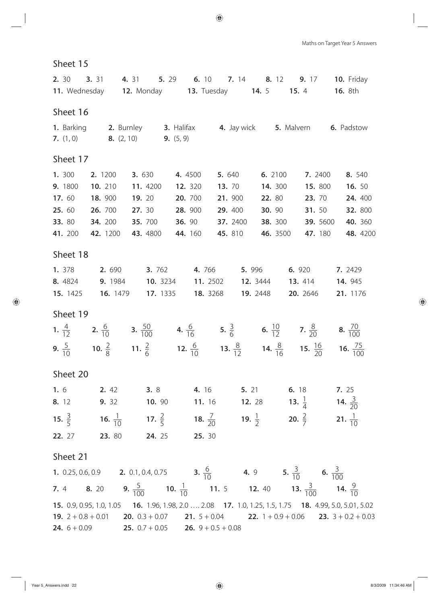| Sheet 16            |                            |                             |                                                                                  |                                                                                                                                                                                                   |                                                                                                                |                                                                                                                                                                                                                                                                                                                                                                                                                                                                                                                                                                                                                                                                                                                                                                                                                                                                                                                                                                                                                                                                                                                                                                                                                                                                                                                                                                                                                                                                                                                                                                                                                                                                                                                                                                                                                           |  |  |  |  |  |  |  |
|---------------------|----------------------------|-----------------------------|----------------------------------------------------------------------------------|---------------------------------------------------------------------------------------------------------------------------------------------------------------------------------------------------|----------------------------------------------------------------------------------------------------------------|---------------------------------------------------------------------------------------------------------------------------------------------------------------------------------------------------------------------------------------------------------------------------------------------------------------------------------------------------------------------------------------------------------------------------------------------------------------------------------------------------------------------------------------------------------------------------------------------------------------------------------------------------------------------------------------------------------------------------------------------------------------------------------------------------------------------------------------------------------------------------------------------------------------------------------------------------------------------------------------------------------------------------------------------------------------------------------------------------------------------------------------------------------------------------------------------------------------------------------------------------------------------------------------------------------------------------------------------------------------------------------------------------------------------------------------------------------------------------------------------------------------------------------------------------------------------------------------------------------------------------------------------------------------------------------------------------------------------------------------------------------------------------------------------------------------------------|--|--|--|--|--|--|--|
|                     |                            |                             |                                                                                  |                                                                                                                                                                                                   |                                                                                                                |                                                                                                                                                                                                                                                                                                                                                                                                                                                                                                                                                                                                                                                                                                                                                                                                                                                                                                                                                                                                                                                                                                                                                                                                                                                                                                                                                                                                                                                                                                                                                                                                                                                                                                                                                                                                                           |  |  |  |  |  |  |  |
|                     |                            |                             |                                                                                  |                                                                                                                                                                                                   |                                                                                                                |                                                                                                                                                                                                                                                                                                                                                                                                                                                                                                                                                                                                                                                                                                                                                                                                                                                                                                                                                                                                                                                                                                                                                                                                                                                                                                                                                                                                                                                                                                                                                                                                                                                                                                                                                                                                                           |  |  |  |  |  |  |  |
| 2. 1200<br>10. 210  | <b>3.</b> 630              | 4.4500                      |                                                                                  | 6. 2100                                                                                                                                                                                           | 7. 2400<br>15.800                                                                                              | 8. 540<br><b>16.</b> 50                                                                                                                                                                                                                                                                                                                                                                                                                                                                                                                                                                                                                                                                                                                                                                                                                                                                                                                                                                                                                                                                                                                                                                                                                                                                                                                                                                                                                                                                                                                                                                                                                                                                                                                                                                                                   |  |  |  |  |  |  |  |
| 18. 900<br>26. 700  | <b>19.</b> 20<br>27. 30    | 20. 700<br>28. 900          |                                                                                  |                                                                                                                                                                                                   | <b>23.</b> 70<br><b>31.</b> 50                                                                                 | 24. 400<br>32. 800                                                                                                                                                                                                                                                                                                                                                                                                                                                                                                                                                                                                                                                                                                                                                                                                                                                                                                                                                                                                                                                                                                                                                                                                                                                                                                                                                                                                                                                                                                                                                                                                                                                                                                                                                                                                        |  |  |  |  |  |  |  |
| 34. 200<br>42. 1200 | <b>35.</b> 700<br>43. 4800 | <b>36.</b> 90<br>44. 160    |                                                                                  |                                                                                                                                                                                                   | <b>39.</b> 5600<br>47. 180                                                                                     | 40. 360<br>48. 4200                                                                                                                                                                                                                                                                                                                                                                                                                                                                                                                                                                                                                                                                                                                                                                                                                                                                                                                                                                                                                                                                                                                                                                                                                                                                                                                                                                                                                                                                                                                                                                                                                                                                                                                                                                                                       |  |  |  |  |  |  |  |
| Sheet 18            |                            |                             |                                                                                  |                                                                                                                                                                                                   |                                                                                                                |                                                                                                                                                                                                                                                                                                                                                                                                                                                                                                                                                                                                                                                                                                                                                                                                                                                                                                                                                                                                                                                                                                                                                                                                                                                                                                                                                                                                                                                                                                                                                                                                                                                                                                                                                                                                                           |  |  |  |  |  |  |  |
|                     |                            |                             |                                                                                  |                                                                                                                                                                                                   |                                                                                                                | 7. 2429<br><b>14.</b> 945<br>21. 1176                                                                                                                                                                                                                                                                                                                                                                                                                                                                                                                                                                                                                                                                                                                                                                                                                                                                                                                                                                                                                                                                                                                                                                                                                                                                                                                                                                                                                                                                                                                                                                                                                                                                                                                                                                                     |  |  |  |  |  |  |  |
|                     |                            |                             |                                                                                  |                                                                                                                                                                                                   |                                                                                                                |                                                                                                                                                                                                                                                                                                                                                                                                                                                                                                                                                                                                                                                                                                                                                                                                                                                                                                                                                                                                                                                                                                                                                                                                                                                                                                                                                                                                                                                                                                                                                                                                                                                                                                                                                                                                                           |  |  |  |  |  |  |  |
|                     |                            |                             |                                                                                  |                                                                                                                                                                                                   |                                                                                                                |                                                                                                                                                                                                                                                                                                                                                                                                                                                                                                                                                                                                                                                                                                                                                                                                                                                                                                                                                                                                                                                                                                                                                                                                                                                                                                                                                                                                                                                                                                                                                                                                                                                                                                                                                                                                                           |  |  |  |  |  |  |  |
|                     |                            |                             |                                                                                  |                                                                                                                                                                                                   |                                                                                                                |                                                                                                                                                                                                                                                                                                                                                                                                                                                                                                                                                                                                                                                                                                                                                                                                                                                                                                                                                                                                                                                                                                                                                                                                                                                                                                                                                                                                                                                                                                                                                                                                                                                                                                                                                                                                                           |  |  |  |  |  |  |  |
|                     |                            |                             |                                                                                  |                                                                                                                                                                                                   |                                                                                                                |                                                                                                                                                                                                                                                                                                                                                                                                                                                                                                                                                                                                                                                                                                                                                                                                                                                                                                                                                                                                                                                                                                                                                                                                                                                                                                                                                                                                                                                                                                                                                                                                                                                                                                                                                                                                                           |  |  |  |  |  |  |  |
|                     |                            |                             |                                                                                  |                                                                                                                                                                                                   |                                                                                                                |                                                                                                                                                                                                                                                                                                                                                                                                                                                                                                                                                                                                                                                                                                                                                                                                                                                                                                                                                                                                                                                                                                                                                                                                                                                                                                                                                                                                                                                                                                                                                                                                                                                                                                                                                                                                                           |  |  |  |  |  |  |  |
|                     |                            |                             |                                                                                  |                                                                                                                                                                                                   |                                                                                                                |                                                                                                                                                                                                                                                                                                                                                                                                                                                                                                                                                                                                                                                                                                                                                                                                                                                                                                                                                                                                                                                                                                                                                                                                                                                                                                                                                                                                                                                                                                                                                                                                                                                                                                                                                                                                                           |  |  |  |  |  |  |  |
|                     |                            |                             |                                                                                  |                                                                                                                                                                                                   |                                                                                                                |                                                                                                                                                                                                                                                                                                                                                                                                                                                                                                                                                                                                                                                                                                                                                                                                                                                                                                                                                                                                                                                                                                                                                                                                                                                                                                                                                                                                                                                                                                                                                                                                                                                                                                                                                                                                                           |  |  |  |  |  |  |  |
|                     |                            |                             |                                                                                  |                                                                                                                                                                                                   |                                                                                                                |                                                                                                                                                                                                                                                                                                                                                                                                                                                                                                                                                                                                                                                                                                                                                                                                                                                                                                                                                                                                                                                                                                                                                                                                                                                                                                                                                                                                                                                                                                                                                                                                                                                                                                                                                                                                                           |  |  |  |  |  |  |  |
|                     |                            |                             |                                                                                  |                                                                                                                                                                                                   |                                                                                                                |                                                                                                                                                                                                                                                                                                                                                                                                                                                                                                                                                                                                                                                                                                                                                                                                                                                                                                                                                                                                                                                                                                                                                                                                                                                                                                                                                                                                                                                                                                                                                                                                                                                                                                                                                                                                                           |  |  |  |  |  |  |  |
|                     |                            |                             |                                                                                  |                                                                                                                                                                                                   |                                                                                                                |                                                                                                                                                                                                                                                                                                                                                                                                                                                                                                                                                                                                                                                                                                                                                                                                                                                                                                                                                                                                                                                                                                                                                                                                                                                                                                                                                                                                                                                                                                                                                                                                                                                                                                                                                                                                                           |  |  |  |  |  |  |  |
|                     |                            |                             |                                                                                  |                                                                                                                                                                                                   |                                                                                                                |                                                                                                                                                                                                                                                                                                                                                                                                                                                                                                                                                                                                                                                                                                                                                                                                                                                                                                                                                                                                                                                                                                                                                                                                                                                                                                                                                                                                                                                                                                                                                                                                                                                                                                                                                                                                                           |  |  |  |  |  |  |  |
|                     |                            | 11. 4200<br><b>16.</b> 1479 | <b>7.</b> $(1, 0)$ <b>8.</b> $(2, 10)$ <b>9.</b> $(5, 9)$<br>12. 320<br>17. 1335 | 5.640<br>21. 900<br>29. 400<br>37. 2400<br>45. 810<br><b>8.</b> 4824 <b>9.</b> 1984 <b>10.</b> 3234 <b>11.</b> 2502<br><b>18.</b> 3268<br><b>22.</b> 27 <b>23.</b> 80 <b>24.</b> 25 <b>25.</b> 30 | <b>13.</b> 70<br><b>1.</b> 378 <b>2.</b> 690 <b>3.</b> 762 <b>4.</b> 766 <b>5.</b> 996<br>12. 3444<br>19. 2448 | <b>2.</b> 30 <b>3.</b> 31 <b>4.</b> 31 <b>5.</b> 29 <b>6.</b> 10 <b>7.</b> 14 <b>8.</b> 12 <b>9.</b> 17 <b>10.</b> Friday<br>11. Wednesday 12. Monday 13. Tuesday 14. 5 15. 4 16. 8th<br>1. Barking 2. Burnley 3. Halifax 4. Jay wick 5. Malvern 6. Padstow<br><b>14.</b> 300<br><b>22.</b> 80<br><b>30.</b> 90<br><b>38.</b> 300<br>46. 3500<br>6. 920<br><b>13.</b> 414<br>20. 2646<br><b>1.</b> $\frac{4}{12}$ <b>2.</b> $\frac{6}{10}$ <b>3.</b> $\frac{50}{100}$ <b>4.</b> $\frac{6}{16}$ <b>5.</b> $\frac{3}{6}$ <b>6.</b> $\frac{10}{12}$ <b>7.</b> $\frac{8}{20}$ <b>8.</b> $\frac{70}{100}$<br><b>9.</b> $\frac{5}{10}$ <b>10.</b> $\frac{2}{8}$ <b>11.</b> $\frac{2}{6}$ <b>12.</b> $\frac{6}{10}$ <b>13.</b> $\frac{8}{12}$ <b>14.</b> $\frac{8}{16}$ <b>15.</b> $\frac{16}{20}$ <b>16.</b> $\frac{75}{100}$<br><b>1.</b> 6 <b>2.</b> 42 <b>3.</b> 8 <b>4.</b> 16 <b>5.</b> 21 <b>6.</b> 18 <b>7.</b> 25<br><b>8.</b> 12 <b>9.</b> 32 <b>10.</b> 90 <b>11.</b> 16 <b>12.</b> 28 <b>13.</b> $\frac{1}{4}$ <b>14.</b> $\frac{3}{20}$<br><b>15.</b> $\frac{3}{5}$ <b>16.</b> $\frac{1}{10}$ <b>17.</b> $\frac{2}{5}$ <b>18.</b> $\frac{7}{20}$ <b>19.</b> $\frac{1}{2}$ <b>20.</b> $\frac{2}{7}$ <b>21.</b> $\frac{1}{10}$<br><b>1.</b> 0.25, 0.6, 0.9 <b>2.</b> 0.1, 0.4, 0.75 <b>3.</b> $\frac{6}{10}$ <b>4.</b> 9 <b>5.</b> $\frac{3}{10}$ <b>6.</b> $\frac{3}{100}$<br><b>7.</b> 4 <b>8.</b> 20 <b>9.</b> $\frac{5}{100}$ <b>10.</b> $\frac{1}{10}$ <b>11.</b> 5 <b>12.</b> 40 <b>13.</b> $\frac{3}{100}$ <b>14.</b> $\frac{9}{10}$<br><b>15.</b> 0.9, 0.95, 1.0, 1.05 <b>16.</b> 1.96, 1.98, 2.0  2.08 <b>17.</b> 1.0, 1.25, 1.5, 1.75 <b>18.</b> 4.99, 5.0, 5.01, 5.02<br><b>19.</b> $2 + 0.8 + 0.01$ <b>20.</b> $0.3 + 0.07$ <b>21.</b> $5 + 0.04$ <b>22.</b> $1 + 0.9 + 0.06$ <b>23.</b> $3 + 0.2 + 0.03$ |  |  |  |  |  |  |  |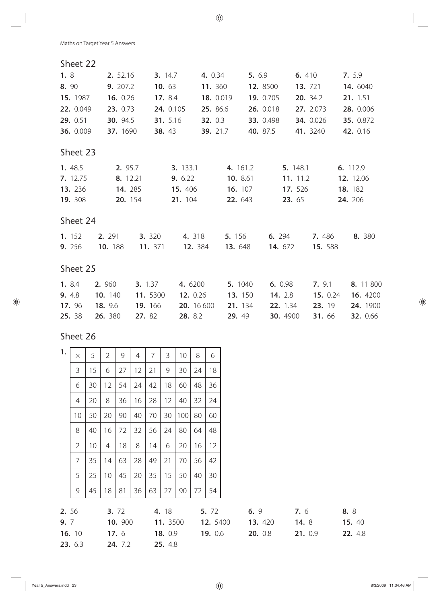### Sheet 22

| 1.8            | 2. 52.16        | <b>3.</b> 14.7 |            | 4. 0.34                       | 5. 6.9    |                | 6. 410    | 7. 5.9          |
|----------------|-----------------|----------------|------------|-------------------------------|-----------|----------------|-----------|-----------------|
| 8. 90          | 9. 207.2        | 10. $63$       |            | 11. 360                       | 12. 8500  |                | 13. 721   | 14. 6040        |
| 15. 1987       | 16. 0.26        | 17. 8.4        |            | 18. 0.019                     | 19. 0.705 |                | 20. 34.2  | 21. 1.51        |
| 22. 0.049      | 23. 0.73        |                | 24. 0.105  | 25. 86.6                      | 26. 0.018 |                | 27. 2.073 | 28. 0.006       |
| 29. 0.51       | <b>30.</b> 94.5 | 31. 5.16       |            | <b>32.</b> 0.3                | 33. 0.498 |                | 34. 0.026 | 35. 0.872       |
| 36. 0.009      | 37. 1690        | 38.43          |            | 39. 21.7                      | 40. 87.5  |                | 41. 3240  | 42. 0.16        |
| Sheet 23       |                 |                |            |                               |           |                |           |                 |
| 1. 48.5        | 2. 95.7         |                | 3. 133.1   | 4. 161.2                      |           | 5. 148.1       |           | 6. 112.9        |
| 7. 12.75       | 8. 12.21        |                | 9. 6.22    | 10. 8.61                      |           | 11. 11.2       |           | 12. 12.06       |
| <b>13.</b> 236 | <b>14.</b> 285  |                | 15.406     | <b>16.</b> 107                |           | 17. 526        |           | 18. 182         |
| <b>19.</b> 308 | 20. 154         |                | 21. 104    | 22. 643                       |           | 23. 65         |           | 24. 206         |
| Sheet 24       |                 |                |            |                               |           |                |           |                 |
| 1. 152         | 2. 291          | <b>3.</b> 320  |            | <b>4.</b> 318 <b>5.</b> 156   |           | 6. 294         | 7.486     | 8. 380          |
| 9. 256         | 10. 188         | 11. 371        |            | <b>12.</b> 384 <b>13.</b> 648 |           | 14. 672        | 15. 588   |                 |
| Sheet 25       |                 |                |            |                               |           |                |           |                 |
| 1. 8.4         | 2. 960          | <b>3.</b> 1.37 | 4. 6200    | 5. 1040                       |           | 6. 0.98        | 7.9.1     | 8. 11 800       |
| 9. 4.8         | 10. 140         | 11. 5300       | 12. 0.26   | 13. 150                       |           | <b>14.</b> 2.8 | 15. 0.24  | 16. 4200        |
| 17.96          | 18. 9.6         | 19. 166        | 20. 16 600 | 21. 134                       |           | 22. 1.34       | 23. 19    | 24. 1900        |
| 25. 38         | 26. 380         | 27. 82         | 28. 8.2    | <b>29.</b> 49                 |           | 30. 4900       | 31.66     | <b>32.</b> 0.66 |

| 1.    | $\times$       | 5  | $\overline{2}$  | 9       | 4  | 7  | 3        | 10  | 8  | 6        |         |         |         |
|-------|----------------|----|-----------------|---------|----|----|----------|-----|----|----------|---------|---------|---------|
|       | 3              | 15 | 6               | 27      | 12 | 21 | 9        | 30  | 24 | 18       |         |         |         |
|       | 6              | 30 | 12              | 54      | 24 | 42 | 18       | 60  | 48 | 36       |         |         |         |
|       | 4              | 20 | 8               | 36      | 16 | 28 | 12       | 40  | 32 | 24       |         |         |         |
|       | 10             | 50 | 20              | 90      | 40 | 70 | 30       | 100 | 80 | 60       |         |         |         |
|       | 8              | 40 | 16              | 72      | 32 | 56 | 24       | 80  | 64 | 48       |         |         |         |
|       | $\overline{2}$ | 10 | 4               | 18      | 8  | 14 | 6        | 20  | 16 | 12       |         |         |         |
|       | 7              | 35 | 14              | 63      | 28 | 49 | 21       | 70  | 56 | 42       |         |         |         |
|       | 5              | 25 | 10 <sup>°</sup> | 45      | 20 | 35 | 15       | 50  | 40 | 30       |         |         |         |
|       | 9              | 45 | 18              | 81      | 36 | 63 | 27       | 90  | 72 | 54       |         |         |         |
| 2. 56 |                |    |                 | 3. 72   |    |    | 4. 18    |     |    | 5. 72    | 6.9     | 7.6     | 8. 8    |
| 9. 7  |                |    |                 | 10. 900 |    |    | 11. 3500 |     |    | 12. 5400 | 13. 420 | 14. 8   | 15. 40  |
|       | 16. 10         |    |                 | 17.6    |    |    | 18. 0.9  |     |    | 19. 0.6  | 20. 0.8 | 21. 0.9 | 22. 4.8 |
|       | 23. 6.3        |    |                 | 24. 7.2 |    |    | 25. 4.8  |     |    |          |         |         |         |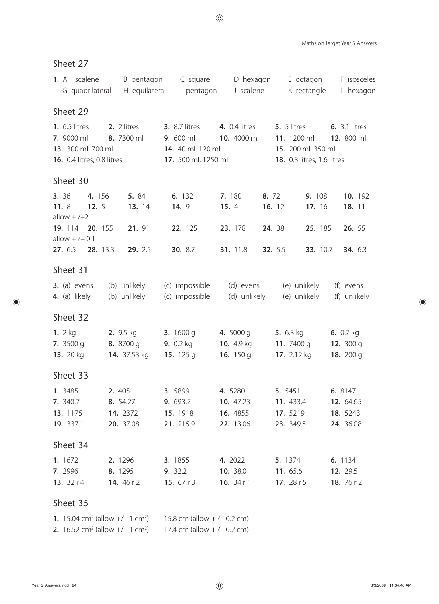| 1. A scalene<br>G quadrilateral                                                               | B pentagon<br>H equilateral                                | C square<br>I pentagon                                                                                  | D hexagon<br>J scalene                                      | E octagon<br>K rectangle                                                                  | F isosceles<br>L hexagon                      |
|-----------------------------------------------------------------------------------------------|------------------------------------------------------------|---------------------------------------------------------------------------------------------------------|-------------------------------------------------------------|-------------------------------------------------------------------------------------------|-----------------------------------------------|
| Sheet 29                                                                                      |                                                            |                                                                                                         |                                                             |                                                                                           |                                               |
| <b>1.</b> 6.5 litres<br>7. 9000 ml<br>13. 300 ml, 700 ml<br><b>16.</b> 0.4 litres, 0.8 litres | 2. 2 litres<br>8. 7300 ml                                  | <b>3.</b> 8.7 litres<br><b>9.</b> 600 ml <b>10.</b> 4000 ml<br>14. 40 ml, 120 ml<br>17. 500 ml, 1250 ml | <b>4.</b> 0.4 litres                                        | 5. 5 litres<br>11. 1200 ml 12. 800 ml<br>15. 200 ml, 350 ml<br>18. 0.3 litres, 1.6 litres | <b>6.</b> 3.1 litres                          |
| Sheet 30                                                                                      |                                                            |                                                                                                         |                                                             |                                                                                           |                                               |
| 3. 36<br>4. 156<br>11.8<br>12.5<br>allow $+/-2$                                               | 5. 84<br>13. 14                                            | 6. 132<br><b>14.</b> 9                                                                                  | 7.180<br>8. 72<br>15.4                                      | 9. 108<br>16. 12<br>17. 16                                                                | 10. 192<br>18. 11                             |
| 19. 114 20. 155<br>allow $+/- 0.1$                                                            | 21. 91                                                     | 22. 125                                                                                                 | 23. 178                                                     | 24. 38<br>25. 185                                                                         | 26. 55                                        |
| 27. 6.5 28. 13.3                                                                              | 29. 2.5                                                    | <b>30.</b> 8.7                                                                                          | 31. 11.8                                                    | <b>32.</b> 5.5<br>33. 10.7                                                                | 34. 6.3                                       |
| Sheet 31                                                                                      |                                                            |                                                                                                         |                                                             |                                                                                           |                                               |
| $3.$ (a) evens<br>4. (a) likely                                                               | (b) unlikely<br>(b) unlikely                               | (c) impossible<br>(c) impossible                                                                        | (d) evens<br>(d) unlikely                                   | (e) unlikely<br>(e) unlikely                                                              | (f) evens<br>(f) unlikely                     |
| Sheet 32                                                                                      |                                                            |                                                                                                         |                                                             |                                                                                           |                                               |
| 1. $2 kg$<br>7. $3500$ g<br>13. 20 kg                                                         | <b>2.</b> $9.5 \text{ kg}$<br>8. 8700 g<br>14. 37.53 kg    | 3. $1600 g$<br><b>9.</b> $0.2$ kg<br>15. $125q$                                                         | 4. 5000 g<br>10. $4.9 \text{ kg}$<br>16. $150q$             | 5. $6.3$ kg<br>11. 7400 g<br>17. 2.12 kg                                                  | 6. $0.7$ kg<br>12. $300q$<br>18. 200 g        |
| Sheet 33                                                                                      |                                                            |                                                                                                         |                                                             |                                                                                           |                                               |
| 1. 3485<br>7. 340.7<br>13. 1175<br>19. 337.1                                                  | <b>2.</b> 4051<br>8. 54.27<br><b>14.</b> 2372<br>20. 37.08 | <b>3.</b> 5899<br>9. 693.7<br>15. 1918<br>21. 215.9                                                     | <b>4.</b> 5280<br>10. 47.23<br><b>16.</b> 4855<br>22. 13.06 | 5. 5451<br>11. 433.4<br>17. 5219<br>23. 349.5                                             | 6. 8147<br>12. 64.65<br>18. 5243<br>24. 36.08 |
| Sheet 34                                                                                      |                                                            |                                                                                                         |                                                             |                                                                                           |                                               |
| 1. 1672<br><b>7.</b> 2996<br>13. $32 r 4$                                                     | 2. 1296<br>8. 1295<br><b>14.</b> 46 r 2                    | <b>3.</b> 1855<br><b>9.</b> 32.2<br>15. 67 r 3                                                          | 4. 2022<br><b>10.</b> 38.0<br><b>16.</b> $34r1$             | 5. 1374<br><b>11.</b> 65.6<br><b>17.</b> 28 r 5                                           | 6. 1134<br><b>12.</b> 29.5<br>18. 76 r 2      |

| 1. 15.04 cm <sup>2</sup> (allow $+/- 1$ cm <sup>2</sup> )        | 15.8 cm (allow $+/- 0.2$ cm) |
|------------------------------------------------------------------|------------------------------|
| <b>2.</b> 16.52 cm <sup>2</sup> (allow $+/- 1$ cm <sup>2</sup> ) | 17.4 cm (allow $+/- 0.2$ cm) |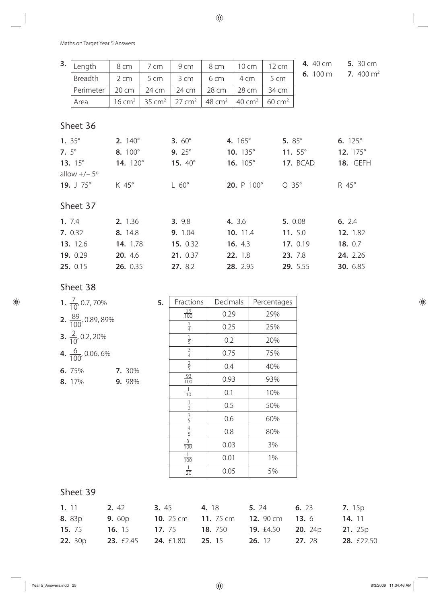| 3.              | Length               | 8 cm              | 7 cm              | 9 cm              | 8 cm     | 10 cm             | 12 cm             | 4. 40 cm         | <b>5.</b> 30 cm |
|-----------------|----------------------|-------------------|-------------------|-------------------|----------|-------------------|-------------------|------------------|-----------------|
|                 | Breadth              | 2 cm              | 5 cm              | 3 cm              | 6 cm     | 4 cm              | 5 cm              | 6. 100 m         | 7. 400 $m2$     |
|                 | Perimeter            | 20 cm             | 24 cm             | 24 cm             | 28 cm    | 28 cm             | 34 cm             |                  |                 |
|                 | Area                 | $16 \text{ cm}^2$ | $35 \text{ cm}^2$ | $27 \text{ cm}^2$ | 48 $cm2$ | $40 \text{ cm}^2$ | $60 \text{ cm}^2$ |                  |                 |
|                 |                      |                   |                   |                   |          |                   |                   |                  |                 |
|                 | Sheet 36             |                   |                   |                   |          |                   |                   |                  |                 |
| 1. $35^{\circ}$ |                      | 2. $140^{\circ}$  |                   | 3. $60^{\circ}$   |          | 4. 165°           | 5. $85^{\circ}$   |                  | 6. $125^\circ$  |
| 7. $5^{\circ}$  |                      | 8. 100°           |                   | 9. $25^{\circ}$   |          | 10. 135°          |                   | 11. $55^{\circ}$ | 12. 175°        |
|                 | 13. $15^{\circ}$     | 14. 120°          |                   | 15. 40°           |          | 16. 105°          |                   | <b>17. BCAD</b>  | <b>18. GEFH</b> |
|                 | allow $+/-5^{\circ}$ |                   |                   |                   |          |                   |                   |                  |                 |
|                 | 19. $J \ 75^\circ$   | K 45°             |                   | $L 60^\circ$      |          | 20. P 100°        | $Q$ 35 $^{\circ}$ |                  | R 45°           |
|                 |                      |                   |                   |                   |          |                   |                   |                  |                 |
|                 | Sheet 37             |                   |                   |                   |          |                   |                   |                  |                 |
| 1.7.4           |                      | 2. 1.36           |                   | 3. 9.8            |          | 4. 3.6            |                   | 5. 0.08          | 6. 2.4          |
|                 | 7. 0.32              | 8. 14.8           |                   | 9. 1.04           |          | 10. 11.4          |                   | 11. 5.0          | 12. 1.82        |
|                 | 13. 12.6             | 14. 1.78          |                   | 15. 0.32          |          | 16. 4.3           |                   | 17. 0.19         | 18. 0.7         |
|                 | 19. 0.29             | 20. 4.6           |                   | 21. 0.37          |          | 22. 1.8           |                   | 23. 7.8          | 24. 2.26        |
|                 | 25. 0.15             | 26. 0.35          |                   | 27. 8.2           |          | 28. 2.95          |                   | 29. 5.55         | 30. 6.85        |

#### Sheet 38

| 1. $\frac{7}{10}$ , 0.7, 70%           | 5. | Fractions        | Decimals | Percentages |
|----------------------------------------|----|------------------|----------|-------------|
| <b>2.</b> $\frac{89}{100}$ , 0.89, 89% |    | $\frac{29}{100}$ | 0.29     | 29%         |
|                                        |    | $\frac{1}{4}$    | 0.25     | 25%         |
| <b>3.</b> $\frac{2}{10}$ , 0.2, 20%    |    | $\frac{1}{5}$    | 0.2      | 20%         |
| 4. $\frac{6}{100}$ , 0.06, 6%          |    | $\frac{3}{4}$    | 0.75     | 75%         |
| 6. 75%<br>7. 30%                       |    | $rac{2}{5}$      | 0.4      | 40%         |
| 9. 98%<br>8. 17%                       |    | $\frac{93}{100}$ | 0.93     | 93%         |
|                                        |    | $\frac{1}{10}$   | 0.1      | 10%         |
|                                        |    | $\frac{1}{2}$    | 0.5      | 50%         |
|                                        |    | $rac{3}{5}$      | 0.6      | 60%         |
|                                        |    | $\frac{4}{5}$    | 0.8      | 80%         |
|                                        |    | $\frac{3}{100}$  | 0.03     | 3%          |
|                                        |    | $\frac{1}{100}$  | 0.01     | 1%          |

 $\frac{1}{20}$ 

### Sheet 39

| 1.11           | 2.42                                            | <b>3.</b> 45 | 4.18                                                                       | 5. 24         | 6. 23         | <b>7.</b> 15p     |
|----------------|-------------------------------------------------|--------------|----------------------------------------------------------------------------|---------------|---------------|-------------------|
| <b>8.</b> 83p  | <b>9.</b> 60p                                   |              | <b>10.</b> 25 cm <b>11.</b> 75 cm <b>12.</b> 90 cm <b>13.</b> 6            |               |               | <b>14.</b> 11     |
| <b>15.</b> 75  |                                                 |              | <b>16.</b> 15 <b>17.</b> 75 <b>18.</b> 750 <b>19.</b> £4.50 <b>20.</b> 24p |               |               | <b>21.</b> 25p    |
| <b>22.</b> 30p | <b>23.</b> £2.45 <b>24.</b> £1.80 <b>25.</b> 15 |              |                                                                            | <b>26.</b> 12 | <b>27.</b> 28 | <b>28.</b> £22.50 |

<sup>20</sup> 0.05 5%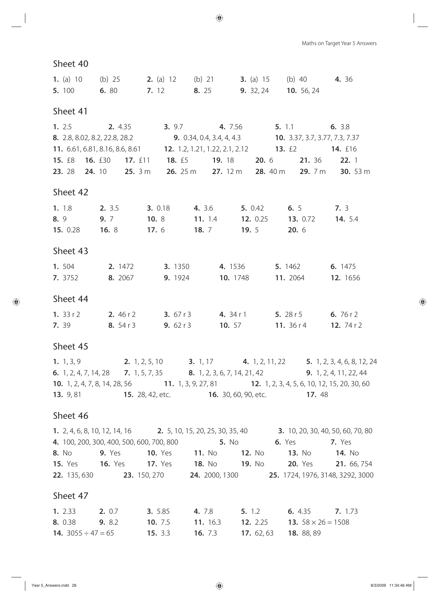| <b>1.</b> (a) 10 (b) 25 |                                                      |  | <b>2.</b> (a) 12 (b) 21 <b>3.</b> (a) 15 (b) 40 | 4.36 |
|-------------------------|------------------------------------------------------|--|-------------------------------------------------|------|
|                         | <b>5.</b> 100 <b>6.</b> 80 <b>7.</b> 12 <b>8.</b> 25 |  | <b>9.</b> 32, 24 <b>10.</b> 56, 24              |      |

#### Sheet 41

| 1.2.5 |                                 | 2. 4.35 |           | 3.9.7    |                    | 4. 7.56                          |              | 5.11                           |               | 6. 3.8         |                 |
|-------|---------------------------------|---------|-----------|----------|--------------------|----------------------------------|--------------|--------------------------------|---------------|----------------|-----------------|
|       | 8. 2.8, 8.02, 8.2, 22.8, 28.2   |         |           |          |                    | <b>9.</b> 0.34, 0.4, 3.4, 4, 4.3 |              | 10. 3.37, 3.7, 3.77, 7.3, 7.37 |               |                |                 |
|       | 11. 6.61, 6.81, 8.16, 8.6, 8.61 |         |           |          |                    | 12. 1.2, 1.21, 1.22, 2.1, 2.12   |              | 13. $f$                        |               | <b>14.</b> £16 |                 |
|       | 15. £8 16. £30                  |         | 17. $£11$ | 18. $£5$ |                    | <b>19.</b> 18                    | <b>20.</b> 6 |                                | <b>21.</b> 36 | 22. 1          |                 |
|       | 23. 28 24. 10                   |         | 25.3 m    |          | 26. $25 \text{ m}$ | 27. $12 \text{ m}$               |              | 28. $40 \text{ m}$             | 29. $7m$      |                | <b>30.</b> 53 m |

#### Sheet 42

|          |  | <b>1.</b> 1.8 <b>2.</b> 3.5 <b>3.</b> 0.18 <b>4.</b> 3.6 <b>5.</b> 0.42 <b>6.</b> 5 <b>7.</b> 3    |  |
|----------|--|----------------------------------------------------------------------------------------------------|--|
|          |  | <b>8.</b> 9 <b>9.</b> 7 <b>10.</b> 8 <b>11.</b> 1.4 <b>12.</b> 0.25 <b>13.</b> 0.72 <b>14.</b> 5.4 |  |
|          |  | <b>15.</b> 0.28 <b>16.</b> 8 <b>17.</b> 6 <b>18.</b> 7 <b>19.</b> 5 <b>20.</b> 6                   |  |
| Sheet 43 |  |                                                                                                    |  |

#### Sheet 45

| 1.504   | 2. 1472 | <b>3.</b> 1350 | 4.1536          | <b>5.</b> 1462 | <b>6.</b> 1475  |
|---------|---------|----------------|-----------------|----------------|-----------------|
| 7. 3752 | 8. 2067 | <b>9.</b> 1924 | <b>10.</b> 1748 | 11. 2064       | <b>12.</b> 1656 |

#### Sheet 44

| 1. $33 r 2$ | <b>2.</b> 46 r 2 | <b>3.</b> 67 r 3 | 4. 34 r 1 | <b>5.</b> 28 r 5  | 6.76r2       |
|-------------|------------------|------------------|-----------|-------------------|--------------|
| 7. 39       | 8.54r3           | <b>9.</b> $62r3$ | 10.57     | <b>11.</b> 36 r 4 | 12. 74 r $2$ |

#### Sheet 45

**1.** 1, 3, 9 **2.** 1, 2, 5, 10 **3.** 1, 17 **4.** 1, 2, 11, 22 **5.** 1, 2, 3, 4, 6, 8, 12, 24 **6.** 1, 2, 4, 7, 14, 28 **7.** 1, 5, 7, 35 **8.** 1, 2, 3, 6, 7, 14, 21, 42 **9.** 1, 2, 4, 11, 22, 44 **10.** 1, 2, 4, 7, 8, 14, 28, 56 **11.** 1, 3, 9, 27, 81 **12.** 1, 2, 3, 4, 5, 6, 10, 12, 15, 20, 30, 60 **13.** 9, 81 **15.** 28, 42, etc. **16.** 30, 60, 90, etc. **17.** 48

#### Sheet 46

|                | 1. 2, 4, 6, 8, 10, 12, 14, 16 |                                           | 2. 5, 10, 15, 20, 25, 30, 35, 40 |                    |               | 3. 10, 20, 30, 40, 50, 60, 70, 80 |             |
|----------------|-------------------------------|-------------------------------------------|----------------------------------|--------------------|---------------|-----------------------------------|-------------|
|                |                               | 4. 100, 200, 300, 400, 500, 600, 700, 800 | <b>5.</b> No                     |                    | <b>6.</b> Yes | <b>7.</b> Yes                     |             |
| 8. No          | <b>9.</b> Yes                 | <b>10.</b> Yes                            | <b>11.</b> No                    | <b>12.</b> No      | <b>13.</b> No | <b>14.</b> No                     |             |
| <b>15.</b> Yes | <b>16.</b> Yes                | <b>17.</b> Yes                            | <b>18.</b> No                    | 19. N <sub>0</sub> |               | <b>20.</b> Yes                    | 21. 66, 754 |
| 22. 135, 630   |                               | 23. 150, 270                              | 24. 2000, 1300                   |                    |               | 25. 1724, 1976, 3148, 3292, 3000  |             |

| <b>1.</b> 2.33 <b>2.</b> 0.7   | <b>3.</b> 5.85   | 4. 7.8 | 5.12                                                                            | <b>6.</b> 4.35 <b>7.</b> 1.73 |  |
|--------------------------------|------------------|--------|---------------------------------------------------------------------------------|-------------------------------|--|
| <b>8.</b> 0.38 <b>9.</b> 8.2   |                  |        | <b>10.</b> 7.5 <b>11.</b> 16.3 <b>12.</b> 2.25 <b>13.</b> $58 \times 26 = 1508$ |                               |  |
| <b>14.</b> 3055 $\div$ 47 = 65 | <b>15.</b> $3.3$ |        | <b>16.</b> 7.3 <b>17.</b> 62, 63 <b>18.</b> 88, 89                              |                               |  |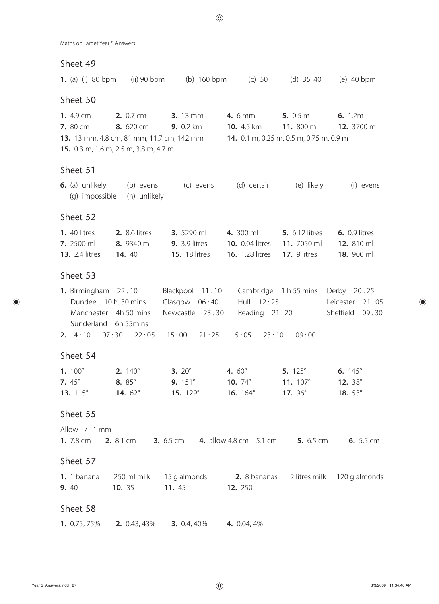|                                                                   |                                                                                                        | <b>1.</b> (a) (i) 80 bpm (ii) 90 bpm (b) 160 bpm (c) 50 (d) 35,40 (e) 40 bpm                                                                                |                                                                                                                                                     |                                                                  |                                                  |
|-------------------------------------------------------------------|--------------------------------------------------------------------------------------------------------|-------------------------------------------------------------------------------------------------------------------------------------------------------------|-----------------------------------------------------------------------------------------------------------------------------------------------------|------------------------------------------------------------------|--------------------------------------------------|
| Sheet 50                                                          |                                                                                                        |                                                                                                                                                             |                                                                                                                                                     |                                                                  |                                                  |
| 1. 4.9 cm<br><b>7.</b> 80 cm <b>8.</b> 620 cm                     | <b>2.</b> 0.7 cm<br>15. 0.3 m, 1.6 m, 2.5 m, 3.8 m, 4.7 m                                              | <b>3.</b> 13 mm<br><b>9.</b> 0.2 km <b>10.</b> 4.5 km <b>11.</b> 800 m<br>13. 13 mm, 4.8 cm, 81 mm, 11.7 cm, 142 mm 14. 0.1 m, 0.25 m, 0.5 m, 0.75 m, 0.9 m | <b>4.</b> 6 mm <b>5.</b> 0.5 m                                                                                                                      |                                                                  | 6.1.2m<br>12. 3700 m                             |
| Sheet 51                                                          |                                                                                                        |                                                                                                                                                             |                                                                                                                                                     |                                                                  |                                                  |
|                                                                   | (g) impossible (h) unlikely                                                                            | <b>6.</b> (a) unlikely (b) evens (c) evens                                                                                                                  | (d) certain (e) likely                                                                                                                              |                                                                  | (f) evens                                        |
| Sheet 52                                                          |                                                                                                        |                                                                                                                                                             |                                                                                                                                                     |                                                                  |                                                  |
| <b>1.</b> 40 litres<br><b>7.</b> 2500 ml<br><b>13.</b> 2.4 litres | <b>2.</b> 8.6 litres<br>8. 9340 ml<br><b>14.</b> 40                                                    | <b>9.</b> 3.9 litres<br><b>15.</b> 18 litres                                                                                                                | <b>3.</b> 5290 ml <b>4.</b> 300 ml <b>5.</b> 6.12 litres<br><b>10.</b> 0.04 litres <b>11.</b> 7050 ml<br><b>16.</b> 1.28 litres <b>17.</b> 9 litres |                                                                  | <b>6.</b> 0.9 litres<br>12. 810 ml<br>18. 900 ml |
| Sheet 53                                                          |                                                                                                        |                                                                                                                                                             |                                                                                                                                                     |                                                                  |                                                  |
|                                                                   | <b>1.</b> Birmingham $22:10$<br>Dundee 10 h. 30 mins<br>Manchester 4h 50 mins<br>Sunderland 6h 55 mins | Glasgow $06:40$<br>Newcastle 23:30<br><b>2.</b> $14:10$ 07:30  22:05  15:00  21:25  15:05  23:10                                                            | Blackpool 11:10 Cambridge 1 h 55 mins Derby 20:25                                                                                                   | Hull 12:25<br>Reading $21:20$<br>09:00                           | Leicester 21:05<br>Sheffield<br>09:30            |
| Sheet 54                                                          |                                                                                                        |                                                                                                                                                             |                                                                                                                                                     |                                                                  |                                                  |
| 7. $45^\circ$<br>13. 115°                                         | <b>8.</b> 85°<br><b>14.</b> $62^{\circ}$                                                               | <b>1.</b> $100^{\circ}$ <b>2.</b> $140^{\circ}$ <b>3.</b> $20^{\circ}$<br><b>9.</b> $151^{\circ}$<br>15. $129^\circ$                                        | 4. $60^{\circ}$<br><b>10.</b> $74^{\circ}$<br><b>16.</b> $164^{\circ}$                                                                              | 5. $125^{\circ}$<br>11. $107^{\circ}$<br><b>17.</b> $96^{\circ}$ | 6. $145^\circ$<br>12. 38°<br>18. $53^\circ$      |
| Sheet 55                                                          |                                                                                                        |                                                                                                                                                             |                                                                                                                                                     |                                                                  |                                                  |
| Allow $+/- 1$ mm                                                  |                                                                                                        | 1. 7.8 cm 2. 8.1 cm 3. 6.5 cm 4. allow 4.8 cm - 5.1 cm 5. 6.5 cm 6. 5.5 cm                                                                                  |                                                                                                                                                     |                                                                  |                                                  |
| Sheet 57                                                          |                                                                                                        |                                                                                                                                                             |                                                                                                                                                     |                                                                  |                                                  |
| 1. 1 banana<br>9. 40                                              | 10. 35                                                                                                 | 250 ml milk 15 g almonds 2. 8 bananas 2 litres milk 120 g almonds<br>11. 45                                                                                 | <b>12.</b> 250                                                                                                                                      |                                                                  |                                                  |
| Sheet 58                                                          |                                                                                                        |                                                                                                                                                             |                                                                                                                                                     |                                                                  |                                                  |
| 1. 0.75, 75%                                                      | <b>2.</b> 0.43, 43%                                                                                    | 3. $0.4, 40\%$                                                                                                                                              | 4. 0.04, 4%                                                                                                                                         |                                                                  |                                                  |